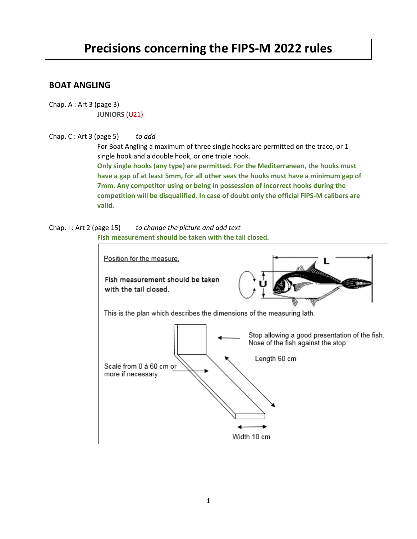# **Precisions concerning the FIPS-M 2022 rules**

# **BOAT ANGLING**

Chap. A : Art 3 (page 3) **JUNIORS** (U21)

# Chap. C : Art 3 (page 5) *to add*

For Boat Angling a maximum of three single hooks are permitted on the trace, or 1 single hook and a double hook, or one triple hook. **Only single hooks (any type) are permitted. For the Mediterranean, the hooks must have a gap of at least 5mm, for all other seas the hooks must have a minimum gap of 7mm. Any competitor using or being in possession of incorrect hooks during the competition will be disqualified. In case of doubt only the official FIPS-M calibers are valid.**

Chap. I : Art 2 (page 15) *to change the picture and add text* **Fish measurement should be taken with the tail closed.**

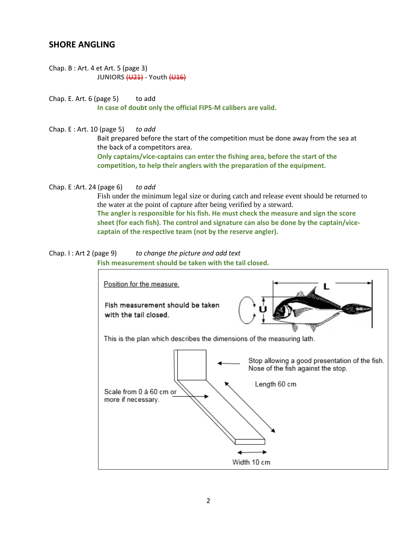# **SHORE ANGLING**

Chap. B : Art. 4 et Art. 5 (page 3) **JUNIORS** (U21) - **Youth** (U16)

Chap. E. Art.  $6$  (page  $5$ ) to add **In case of doubt only the official FIPS-M calibers are valid.**

Chap. E : Art. 10 (page 5) *to add*

Bait prepared before the start of the competition must be done away from the sea at the back of a competitors area.

**Only captains/vice-captains can enter the fishing area, before the start of the competition, to help their anglers with the preparation of the equipment.**

Chap. E :Art. 24 (page 6) *to add*

Fish under the minimum legal size or during catch and release event should be returned to the water at the point of capture after being verified by a steward. **The angler is responsible for his fish. He must check the measure and sign the score sheet (for each fish). The control and signature can also be done by the captain/vicecaptain of the respective team (not by the reserve angler).**

#### Chap. I : Art 2 (page 9) *to change the picture and add text* **Fish measurement should be taken with the tail closed.**

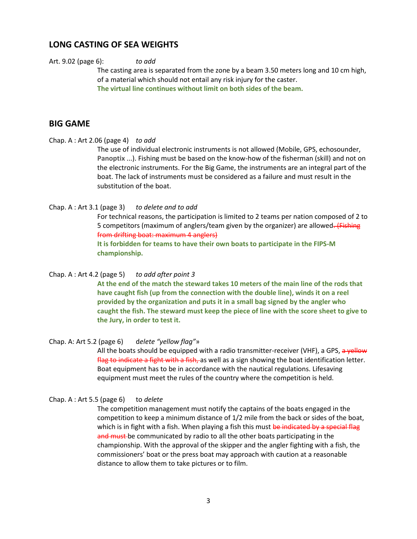# **LONG CASTING OF SEA WEIGHTS**

## Art. 9.02 (page 6): *to add*

The casting area is separated from the zone by a beam 3.50 meters long and 10 cm high, of a material which should not entail any risk injury for the caster. **The virtual line continues without limit on both sides of the beam.**

# **BIG GAME**

## Chap. A : Art 2.06 (page 4) *to add*

The use of individual electronic instruments is not allowed (Mobile, GPS, echosounder, **Panoptix** ...). Fishing must be based on the know-how of the fisherman (skill) and not on the electronic instruments. For the Big Game, the instruments are an integral part of the boat. The lack of instruments must be considered as a failure and must result in the substitution of the boat.

# Chap. A : Art 3.1 (page 3) *to delete and to add*

For technical reasons, the participation is limited to 2 teams per nation composed of 2 to 5 competitors (maximum of anglers/team given by the organizer) are allowed. (Fishing from drifting boat: maximum 4 anglers)

**It is forbidden for teams to have their own boats to participate in the FIPS-M championship.**

## Chap. A : Art 4.2 (page 5) *to add after point 3*

**At the end of the match the steward takes 10 meters of the main line of the rods that have caught fish (up from the connection with the double line), winds it on a reel provided by the organization and puts it in a small bag signed by the angler who caught the fish. The steward must keep the piece of line with the score sheet to give to the Jury, in order to test it.**

# Chap. A: Art 5.2 (page 6) d*elete "yellow flag"*»

All the boats should be equipped with a radio transmitter-receiver (VHF), a GPS, a yellow flag to indicate a fight with a fish, as well as a sign showing the boat identification letter. Boat equipment has to be in accordance with the nautical regulations. Lifesaving equipment must meet the rules of the country where the competition is held.

## Chap. A : Art 5.5 (page 6) to *delete*

The competition management must notify the captains of the boats engaged in the competition to keep a minimum distance of 1/2 mile from the back or sides of the boat, which is in fight with a fish. When playing a fish this must be indicated by a special flag and must be communicated by radio to all the other boats participating in the championship. With the approval of the skipper and the angler fighting with a fish, the commissioners' boat or the press boat may approach with caution at a reasonable distance to allow them to take pictures or to film.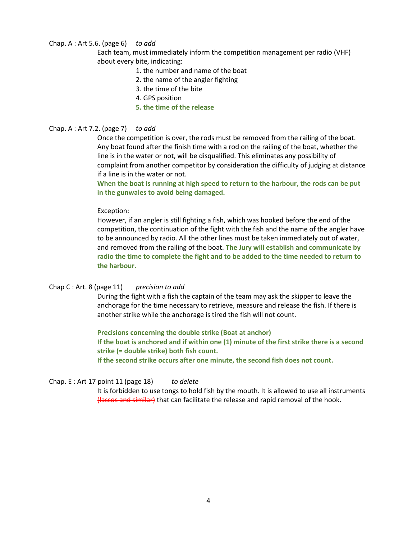# Chap. A : Art 5.6. (page 6) *to add*

Each team, must immediately inform the competition management per radio (VHF) about every bite, indicating:

- 1. the number and name of the boat
- 2. the name of the angler fighting
- 3. the time of the bite
- 4. GPS position
- **5. the time of the release**

## Chap. A : Art 7.2. (page 7) *to add*

Once the competition is over, the rods must be removed from the railing of the boat. Any boat found after the finish time with a rod on the railing of the boat, whether the line is in the water or not, will be disqualified. This eliminates any possibility of complaint from another competitor by consideration the difficulty of judging at distance if a line is in the water or not.

**When the boat is running at high speed to return to the harbour, the rods can be put in the gunwales to avoid being damaged.**

## Exception:

However, if an angler is still fighting a fish, which was hooked before the end of the competition, the continuation of the fight with the fish and the name of the angler have to be announced by radio. All the other lines must be taken immediately out of water, and removed from the railing of the boat. **The Jury will establish and communicate by radio the time to complete the fight and to be added to the time needed to return to the harbour.**

## Chap C : Art. 8 (page 11) *precision to add*

During the fight with a fish the captain of the team may ask the skipper to leave the anchorage for the time necessary to retrieve, measure and release the fish. If there is another strike while the anchorage is tired the fish will not count.

**Precisions concerning the double strike (Boat at anchor) If the boat is anchored and if within one (1) minute of the first strike there is a second strike (= double strike) both fish count. If the second strike occurs after one minute, the second fish does not count.**

# Chap. E : Art 17 point 11 (page 18) *to delete*

It is forbidden to use tongs to hold fish by the mouth. It is allowed to use all instruments (lassos and similar) that can facilitate the release and rapid removal of the hook.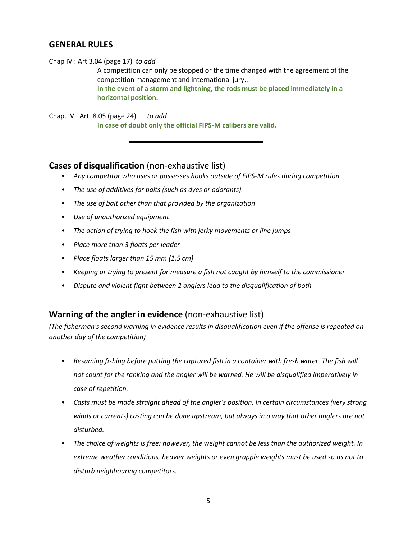# **GENERAL RULES**

Chap IV : Art 3.04 (page 17) *to add*

A competition can only be stopped or the time changed with the agreement of the competition management and international jury.. **In the event of a storm and lightning, the rods must be placed immediately in a horizontal position.**

Chap. IV : Art. 8.05 (page 24) *to add* **In case of doubt only the official FIPS-M calibers are valid.**

# **Cases of disqualification** (non-exhaustive list)

- *Any competitor who uses or possesses hooks outside of FIPS-M rules during competition.*
- *The use of additives for baits (such as dyes or odorants).*
- *The use of bait other than that provided by the organization*
- *Use of unauthorized equipment*
- *The action of trying to hook the fish with jerky movements or line jumps*
- *Place more than 3 floats per leader*
- *Place floats larger than 15 mm (1.5 cm)*
- *Keeping or trying to present for measure a fish not caught by himself to the commissioner*
- *Dispute and violent fight between 2 anglers lead to the disqualification of both*

# **Warning of the angler in evidence** (non-exhaustive list)

*(The fisherman's second warning in evidence results in disqualification even if the offense is repeated on another day of the competition)*

- *Resuming fishing before putting the captured fish in a container with fresh water. The fish will not count for the ranking and the angler will be warned. He will be disqualified imperatively in case of repetition.*
- *Casts must be made straight ahead of the angler's position. In certain circumstances (very strong winds or currents) casting can be done upstream, but always in a way that other anglers are not disturbed.*
- *The choice of weights is free; however, the weight cannot be less than the authorized weight. In extreme weather conditions, heavier weights or even grapple weights must be used so as not to disturb neighbouring competitors.*